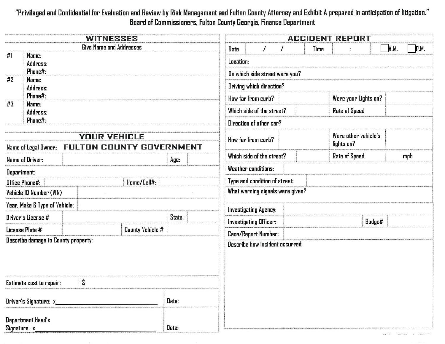## "Privileged and Confidential for Evaluation and Review by Risk Management and Fulton County Attorney and Exhibit A preparedin anticipation of litigation. " Board of Commissioners, Fulton County Georgia, Finance Department

| <b>WITNESSES</b>                      |                                                                                      |  |        | <b>ACCIDENT REPORT</b> |                                        |                           |                               |             |                                    |                      |      |      |     |
|---------------------------------------|--------------------------------------------------------------------------------------|--|--------|------------------------|----------------------------------------|---------------------------|-------------------------------|-------------|------------------------------------|----------------------|------|------|-----|
| <b>Give Name and Addresses</b>        |                                                                                      |  |        |                        | Date                                   | $\prime$                  | $\prime$                      | <b>Time</b> |                                    |                      | A.M. | P.M. |     |
| #1                                    | Name:<br>Address:<br>Phone#:                                                         |  |        |                        | Location:                              |                           |                               |             |                                    |                      |      |      |     |
| #2<br>Name:                           |                                                                                      |  |        |                        | On which side street were you?         |                           |                               |             |                                    |                      |      |      |     |
| Address:                              |                                                                                      |  |        |                        | Driving which direction?               |                           |                               |             |                                    |                      |      |      |     |
| #3                                    | Phone#:<br>Name:                                                                     |  |        |                        |                                        | How far from curb?        |                               |             | Were your Lights on?               |                      |      |      |     |
|                                       | Address:                                                                             |  |        |                        |                                        | Which side of the street? |                               |             | <b>Rate of Speed</b>               |                      |      |      |     |
| Phone#:                               |                                                                                      |  |        |                        | Direction of other car?                |                           |                               |             |                                    |                      |      |      |     |
| <b>YOUR VEHICLE</b>                   |                                                                                      |  |        |                        |                                        | How far from curb?        |                               |             | Were other vehicle's<br>lights on? |                      |      |      |     |
|                                       | <b>FULTON COUNTY GOVERNMENT</b><br>Name of Legal Owner:<br>Which side of the street? |  |        |                        |                                        |                           |                               |             |                                    |                      |      |      |     |
|                                       | <b>Name of Driver:</b>                                                               |  |        |                        | Age:                                   |                           |                               |             |                                    | <b>Rate of Speed</b> |      |      | mph |
| Department:                           |                                                                                      |  |        |                        | <b>Weather conditions:</b>             |                           |                               |             |                                    |                      |      |      |     |
| <b>Office Phone#:</b><br>Home/Cell#:  |                                                                                      |  |        |                        |                                        |                           | Type and condition of street: |             |                                    |                      |      |      |     |
| Vehicle ID Number (VIN)               |                                                                                      |  |        |                        | What warning signals were given?       |                           |                               |             |                                    |                      |      |      |     |
|                                       | Year, Make & Type of Vehicle:                                                        |  |        |                        |                                        |                           | <b>Investigating Agency:</b>  |             |                                    |                      |      |      |     |
| Driver's License #                    |                                                                                      |  | State: |                        | <b>Investigating Officer:</b>          |                           |                               |             | Badge#                             |                      |      |      |     |
|                                       | License Plate #                                                                      |  |        | County Vehicle #       |                                        |                           | <b>Case/Report Number:</b>    |             |                                    |                      |      |      |     |
| Describe damage to County property:   |                                                                                      |  |        |                        | <b>Describe how incident occurred:</b> |                           |                               |             |                                    |                      |      |      |     |
|                                       |                                                                                      |  |        |                        |                                        |                           |                               |             |                                    |                      |      |      |     |
| \$<br><b>Estimate cost to repair:</b> |                                                                                      |  |        |                        |                                        |                           |                               |             |                                    |                      |      |      |     |
| Driver's Signature: x                 |                                                                                      |  |        | Date:                  |                                        |                           |                               |             |                                    |                      |      |      |     |
| Department Head's<br>Signature: x_    |                                                                                      |  | Date:  |                        |                                        |                           |                               |             |                                    |                      |      |      |     |